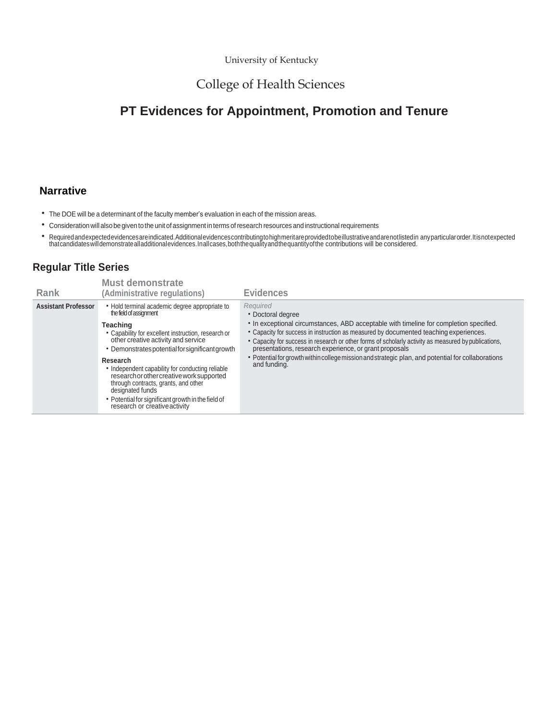University of Kentucky

# College of Health Sciences

# **PT Evidences for Appointment, Promotion and Tenure**

## **Narrative**

- The DOE will be a determinant of the faculty member's evaluation in each of the mission areas.
- Consideration will also be given to the unitofassignment in terms ofresearch resources and instructionalrequirements
- Required andexpected evidences are indicated. Additional evidences contributing to high meritare provided to be illustrative and are not listed in any particular order. It is not expected<br>that candidates will demonstrate

## **Regular Title Series**

| Rank                       | <b>Must demonstrate</b><br>(Administrative regulations)                                                                                                                                                                                                                                                                                                                                                                                                                                                | <b>Evidences</b>                                                                                                                                                                                                                                                                                                                                                                                                                                                                                         |
|----------------------------|--------------------------------------------------------------------------------------------------------------------------------------------------------------------------------------------------------------------------------------------------------------------------------------------------------------------------------------------------------------------------------------------------------------------------------------------------------------------------------------------------------|----------------------------------------------------------------------------------------------------------------------------------------------------------------------------------------------------------------------------------------------------------------------------------------------------------------------------------------------------------------------------------------------------------------------------------------------------------------------------------------------------------|
| <b>Assistant Professor</b> | • Hold terminal academic degree appropriate to<br>the field of assignment<br>Teaching<br>• Capability for excellent instruction, research or<br>other creative activity and service<br>• Demonstrates potential for significant growth<br>Research<br>• Independent capability for conducting reliable<br>research or other creative work supported<br>through contracts, grants, and other<br>designated funds<br>• Potential for significant growth in the field of<br>research or creative activity | Required<br>• Doctoral degree<br>• In exceptional circumstances, ABD acceptable with timeline for completion specified.<br>• Capacity for success in instruction as measured by documented teaching experiences.<br>• Capacity for success in research or other forms of scholarly activity as measured by publications,<br>presentations, research experience, or grant proposals<br>• Potential for growth within college mission and strategic plan, and potential for collaborations<br>and funding. |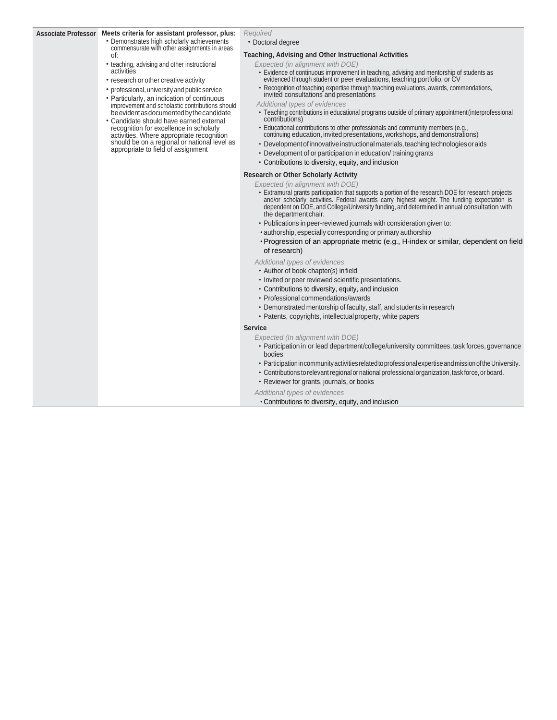#### **Associate Professor Meets criteria for assistant professor, plus:**

- Demonstrates high scholarly achievements commensurate with other assignments in areas of:
- teaching, advising and other instructional activities
- research or other creative activity
- professional, university and public service
- Particularly, an indication of continuous improvement and scholastic contributions should be evident as documented by the candidate
- Candidate should have earned external recognition for excellence in scholarly activities. Where appropriate recognition should be on a regional or national level as appropriate to field of assignment

# *Required*

### • Doctoral degree

### **Teaching, Advising and Other Instructional Activities**

*Expected (in alignment with DOE)*

- Evidence of continuous improvement in teaching, advising and mentorship of students as evidenced through student or peer evaluations, teaching portfolio, or CV
- Recognition of teaching expertise through teaching evaluations, awards, commendations, invited consultations and presentations
- *Additional types of evidences*
- Teaching contributions in educational programs outside of primary appointment(interprofessional contributions)
- Educational contributions to other professionals and community members (e.g., continuing education, invited presentations, workshops, and demonstrations)
- Development of innovative instructional materials, teaching technologies or aids
- Development of or participation in education/ training grants
- Contributions to diversity, equity, and inclusion
- **Research or Other Scholarly Activity**

### *Expected (in alignment with DOE)*

- Extramural grants participation that supports a portion of the research DOE for research projects and/or scholarly activities. Federal awards carry highest weight. The funding expectation is dependent on DOE, and College/University funding, and determined in annual consultation with the department chair.
- Publications in peer-reviewed journals with consideration given to:
- •authorship, especially corresponding or primary authorship
- •Progression of an appropriate metric (e.g., H-index or similar, dependent on field of research)

#### *Additional types of evidences*

- Author of book chapter(s) infield
- Invited or peer reviewed scientific presentations.
- Contributions to diversity, equity, and inclusion
- Professional commendations/awards
- Demonstrated mentorship of faculty, staff, and students in research
- Patents, copyrights, intellectualproperty, white papers

### **Service**

*Expected (In alignment with DOE)*

- Participation in or lead department/college/university committees, task forces, governance bodies
- Participation in community activities related to professional expertise and mission of the University.
- Contributions to relevant regional or national professional organization, task force, or board.
- Reviewer for grants, journals, or books

*Additional types of evidences*

•Contributions to diversity, equity, and inclusion